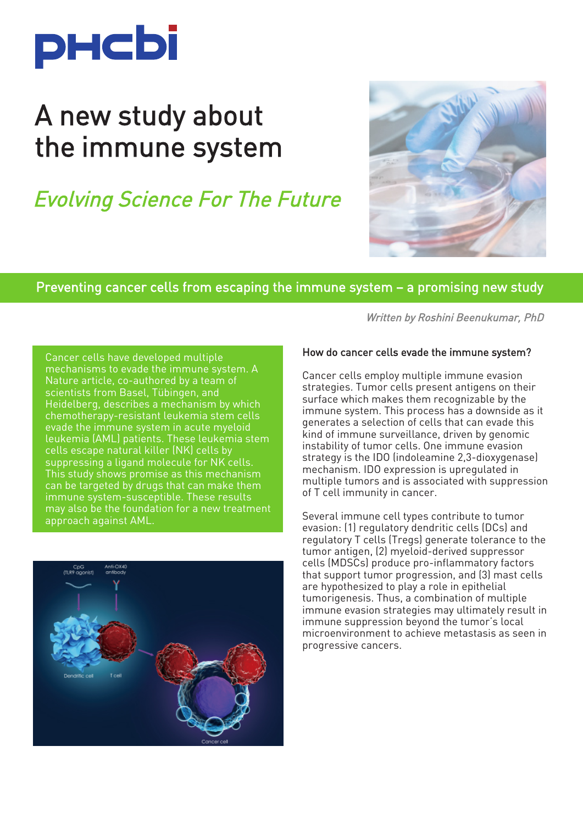

# A new study about the immune system

## Evolving Science For The Future



#### Preventing cancer cells from escaping the immune system – a promising new study

Cancer cells have developed multiple mechanisms to evade the immune system. A Nature article, co-authored by a team of scientists from Basel, Tübingen, and Heidelberg, describes a mechanism by which chemotherapy-resistant leukemia stem cells evade the immune system in acute myeloid leukemia (AML) patients. These leukemia stem cells escape natural killer (NK) cells by suppressing a ligand molecule for NK cells. This study shows promise as this mechanism can be targeted by drugs that can make them immune system-susceptible. These results may also be the foundation for a new treatment approach against AML.



Written by Roshini Beenukumar, PhD

#### How do cancer cells evade the immune system?

Cancer cells employ multiple immune evasion strategies. Tumor cells present antigens on their surface which makes them recognizable by the immune system. This process has a downside as it generates a selection of cells that can evade this kind of immune surveillance, driven by genomic instability of tumor cells. One immune evasion strategy is the IDO (indoleamine 2,3-dioxygenase) mechanism. IDO expression is upregulated in multiple tumors and is associated with suppression of T cell immunity in cancer.

Several immune cell types contribute to tumor evasion: (1) regulatory dendritic cells (DCs) and regulatory T cells (Tregs) generate tolerance to the tumor antigen, (2) myeloid-derived suppressor cells (MDSCs) produce pro-inflammatory factors that support tumor progression, and (3) mast cells are hypothesized to play a role in epithelial tumorigenesis. Thus, a combination of multiple immune evasion strategies may ultimately result in immune suppression beyond the tumor's local microenvironment to achieve metastasis as seen in progressive cancers.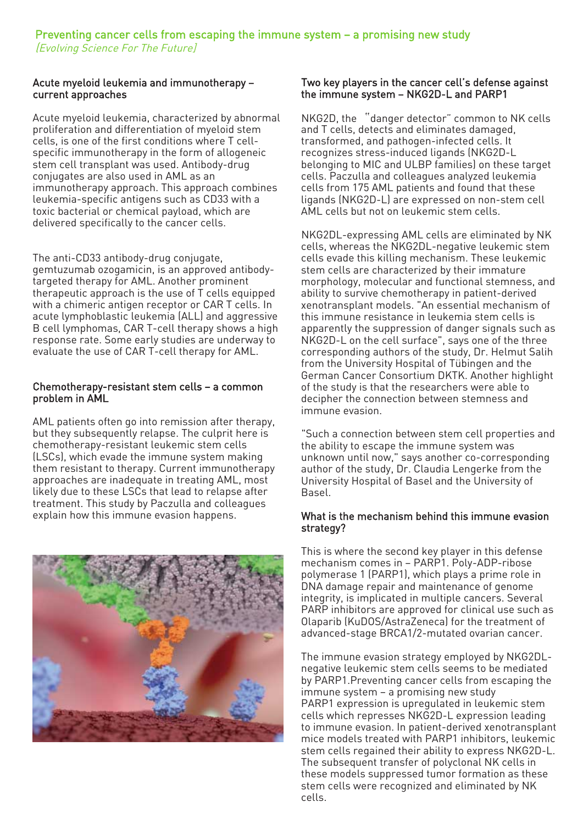#### Acute myeloid leukemia and immunotherapy – current approaches

Acute myeloid leukemia, characterized by abnormal proliferation and differentiation of myeloid stem cells, is one of the first conditions where T cellspecific immunotherapy in the form of allogeneic stem cell transplant was used. Antibody-drug conjugates are also used in AML as an immunotherapy approach. This approach combines leukemia-specific antigens such as CD33 with a toxic bacterial or chemical payload, which are delivered specifically to the cancer cells.

The anti-CD33 antibody-drug conjugate, gemtuzumab ozogamicin, is an approved antibodytargeted therapy for AML. Another prominent therapeutic approach is the use of T cells equipped with a chimeric antigen receptor or CAR T cells. In acute lymphoblastic leukemia (ALL) and aggressive B cell lymphomas, CAR T-cell therapy shows a high response rate. Some early studies are underway to evaluate the use of CAR T-cell therapy for AML.

#### Chemotherapy-resistant stem cells – a common problem in AML

AML patients often go into remission after therapy, but they subsequently relapse. The culprit here is chemotherapy-resistant leukemic stem cells (LSCs), which evade the immune system making them resistant to therapy. Current immunotherapy approaches are inadequate in treating AML, most likely due to these LSCs that lead to relapse after treatment. This study by Paczulla and colleagues explain how this immune evasion happens.



#### Two key players in the cancer cell's defense against the immune system – NKG2D-L and PARP1

NKG2D, the "danger detector" common to NK cells and T cells, detects and eliminates damaged, transformed, and pathogen-infected cells. It recognizes stress-induced ligands (NKG2D-L belonging to MIC and ULBP families) on these target cells. Paczulla and colleagues analyzed leukemia cells from 175 AML patients and found that these ligands (NKG2D-L) are expressed on non-stem cell AML cells but not on leukemic stem cells.

NKG2DL-expressing AML cells are eliminated by NK cells, whereas the NKG2DL-negative leukemic stem cells evade this killing mechanism. These leukemic stem cells are characterized by their immature morphology, molecular and functional stemness, and ability to survive chemotherapy in patient-derived xenotransplant models. "An essential mechanism of this immune resistance in leukemia stem cells is apparently the suppression of danger signals such as NKG2D-L on the cell surface", says one of the three corresponding authors of the study, Dr. Helmut Salih from the University Hospital of Tübingen and the German Cancer Consortium DKTK. Another highlight of the study is that the researchers were able to decipher the connection between stemness and immune evasion.

"Such a connection between stem cell properties and the ability to escape the immune system was unknown until now," says another co-corresponding author of the study, Dr. Claudia Lengerke from the University Hospital of Basel and the University of Basel.

#### What is the mechanism behind this immune evasion strategy?

This is where the second key player in this defense mechanism comes in – PARP1. Poly-ADP-ribose polymerase 1 (PARP1), which plays a prime role in DNA damage repair and maintenance of genome integrity, is implicated in multiple cancers. Several PARP inhibitors are approved for clinical use such as Olaparib (KuDOS/AstraZeneca) for the treatment of advanced-stage BRCA1/2-mutated ovarian cancer.

The immune evasion strategy employed by NKG2DLnegative leukemic stem cells seems to be mediated by PARP1.Preventing cancer cells from escaping the immune system – a promising new study PARP1 expression is upregulated in leukemic stem cells which represses NKG2D-L expression leading to immune evasion. In patient-derived xenotransplant mice models treated with PARP1 inhibitors, leukemic stem cells regained their ability to express NKG2D-L. The subsequent transfer of polyclonal NK cells in these models suppressed tumor formation as these stem cells were recognized and eliminated by NK cells.